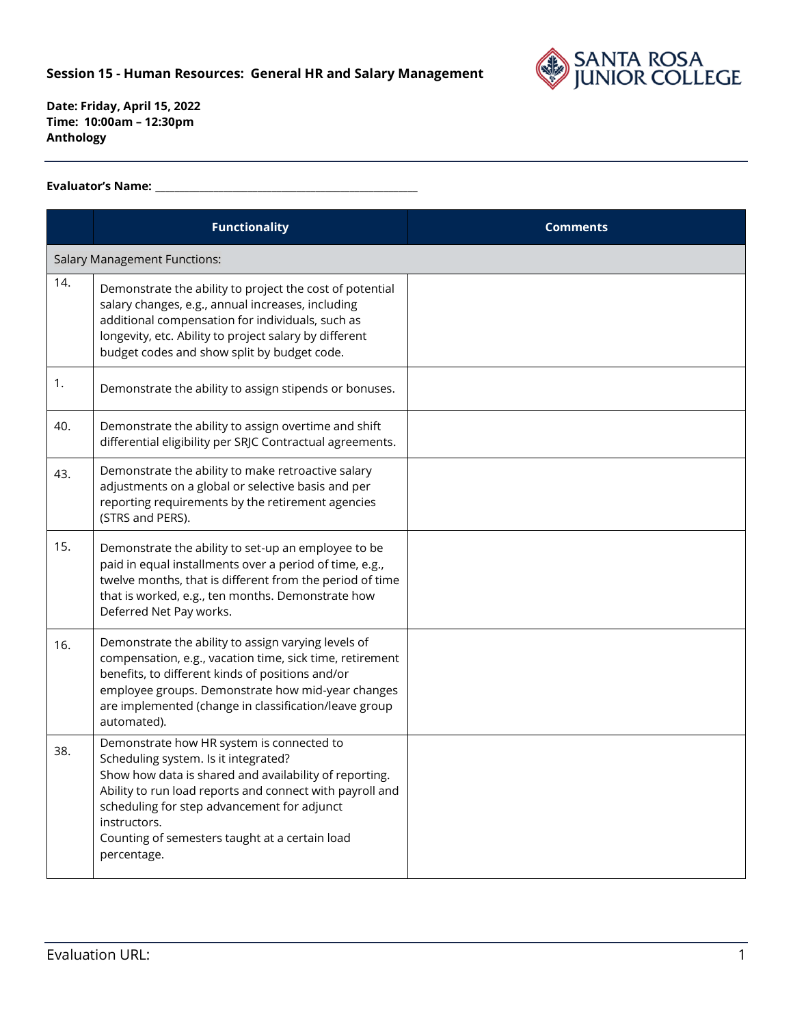

## **Evaluator's Name: \_\_\_\_\_\_\_\_\_\_\_\_\_\_\_\_\_\_\_\_\_\_\_\_\_\_\_\_\_\_\_\_\_\_\_\_\_\_\_\_\_\_\_\_\_\_\_\_\_\_\_\_\_\_**

|     | <b>Functionality</b>                                                                                                                                                                                                                                                                                                                    | <b>Comments</b> |
|-----|-----------------------------------------------------------------------------------------------------------------------------------------------------------------------------------------------------------------------------------------------------------------------------------------------------------------------------------------|-----------------|
|     | <b>Salary Management Functions:</b>                                                                                                                                                                                                                                                                                                     |                 |
| 14. | Demonstrate the ability to project the cost of potential<br>salary changes, e.g., annual increases, including<br>additional compensation for individuals, such as<br>longevity, etc. Ability to project salary by different<br>budget codes and show split by budget code.                                                              |                 |
| 1.  | Demonstrate the ability to assign stipends or bonuses.                                                                                                                                                                                                                                                                                  |                 |
| 40. | Demonstrate the ability to assign overtime and shift<br>differential eligibility per SRJC Contractual agreements.                                                                                                                                                                                                                       |                 |
| 43. | Demonstrate the ability to make retroactive salary<br>adjustments on a global or selective basis and per<br>reporting requirements by the retirement agencies<br>(STRS and PERS).                                                                                                                                                       |                 |
| 15. | Demonstrate the ability to set-up an employee to be<br>paid in equal installments over a period of time, e.g.,<br>twelve months, that is different from the period of time<br>that is worked, e.g., ten months. Demonstrate how<br>Deferred Net Pay works.                                                                              |                 |
| 16. | Demonstrate the ability to assign varying levels of<br>compensation, e.g., vacation time, sick time, retirement<br>benefits, to different kinds of positions and/or<br>employee groups. Demonstrate how mid-year changes<br>are implemented (change in classification/leave group<br>automated).                                        |                 |
| 38. | Demonstrate how HR system is connected to<br>Scheduling system. Is it integrated?<br>Show how data is shared and availability of reporting.<br>Ability to run load reports and connect with payroll and<br>scheduling for step advancement for adjunct<br>instructors.<br>Counting of semesters taught at a certain load<br>percentage. |                 |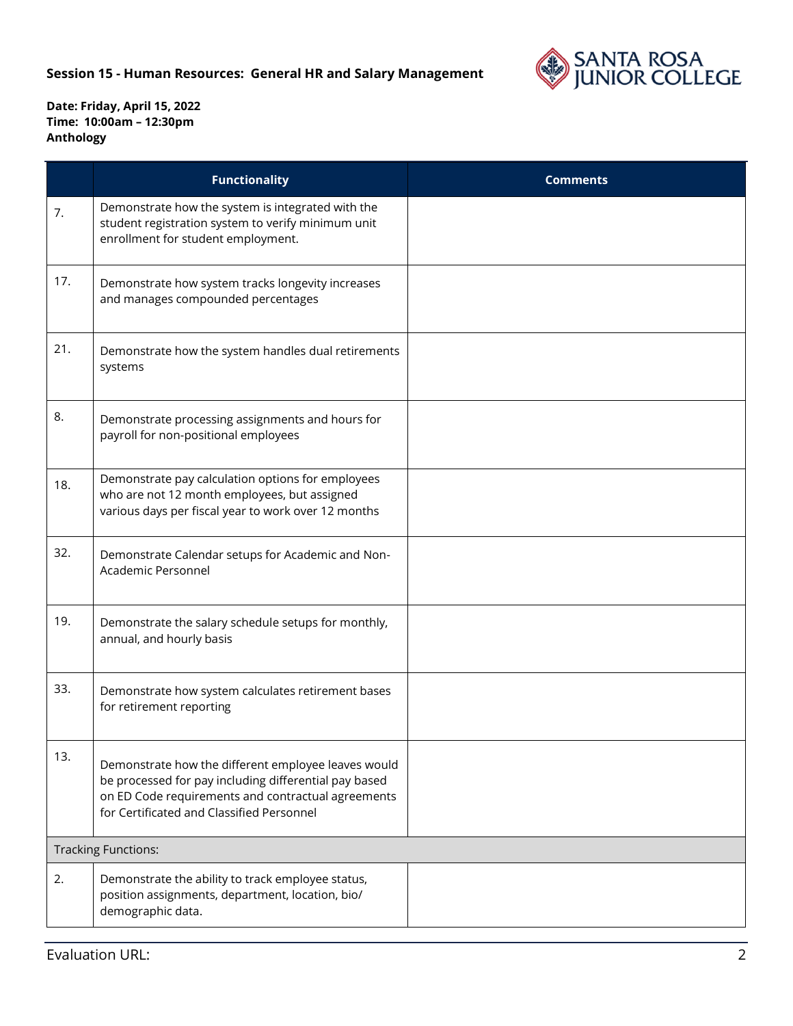

|     | <b>Functionality</b>                                                                                                                                                                                            | <b>Comments</b> |
|-----|-----------------------------------------------------------------------------------------------------------------------------------------------------------------------------------------------------------------|-----------------|
| 7.  | Demonstrate how the system is integrated with the<br>student registration system to verify minimum unit<br>enrollment for student employment.                                                                   |                 |
| 17. | Demonstrate how system tracks longevity increases<br>and manages compounded percentages                                                                                                                         |                 |
| 21. | Demonstrate how the system handles dual retirements<br>systems                                                                                                                                                  |                 |
| 8.  | Demonstrate processing assignments and hours for<br>payroll for non-positional employees                                                                                                                        |                 |
| 18. | Demonstrate pay calculation options for employees<br>who are not 12 month employees, but assigned<br>various days per fiscal year to work over 12 months                                                        |                 |
| 32. | Demonstrate Calendar setups for Academic and Non-<br>Academic Personnel                                                                                                                                         |                 |
| 19. | Demonstrate the salary schedule setups for monthly,<br>annual, and hourly basis                                                                                                                                 |                 |
| 33. | Demonstrate how system calculates retirement bases<br>for retirement reporting                                                                                                                                  |                 |
| 13. | Demonstrate how the different employee leaves would<br>be processed for pay including differential pay based<br>on ED Code requirements and contractual agreements<br>for Certificated and Classified Personnel |                 |
|     | <b>Tracking Functions:</b>                                                                                                                                                                                      |                 |
| 2.  | Demonstrate the ability to track employee status,<br>position assignments, department, location, bio/<br>demographic data.                                                                                      |                 |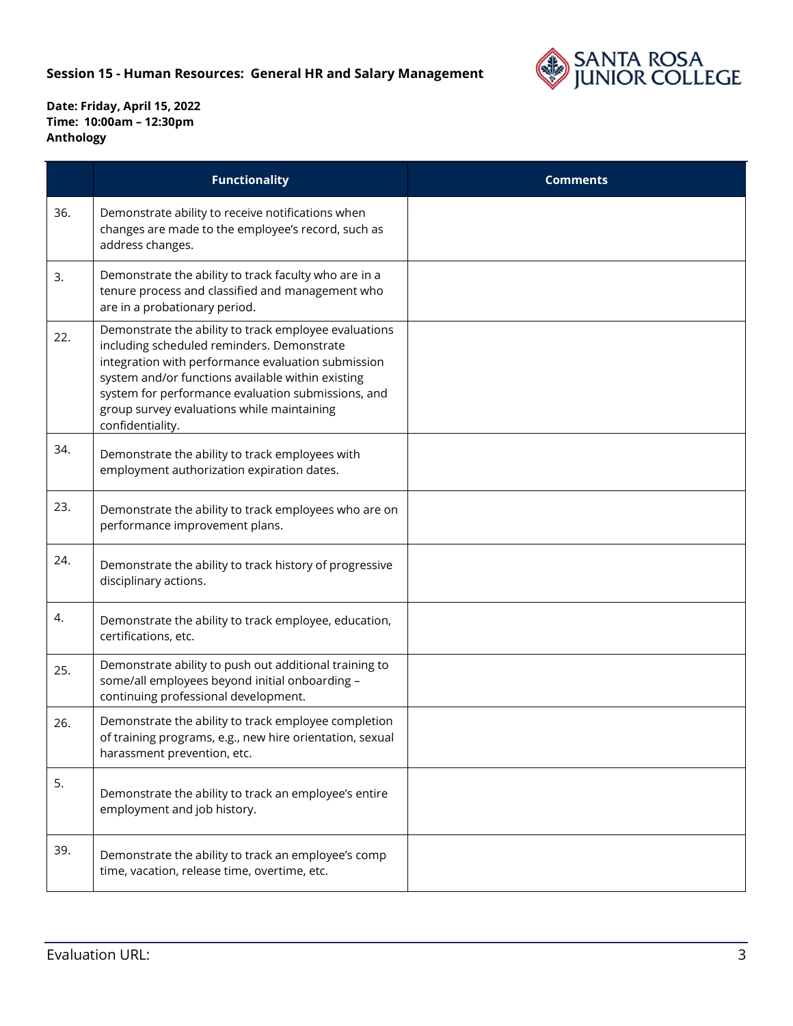

|     | <b>Functionality</b>                                                                                                                                                                                                                                                                                                                   | <b>Comments</b> |
|-----|----------------------------------------------------------------------------------------------------------------------------------------------------------------------------------------------------------------------------------------------------------------------------------------------------------------------------------------|-----------------|
| 36. | Demonstrate ability to receive notifications when<br>changes are made to the employee's record, such as<br>address changes.                                                                                                                                                                                                            |                 |
| 3.  | Demonstrate the ability to track faculty who are in a<br>tenure process and classified and management who<br>are in a probationary period.                                                                                                                                                                                             |                 |
| 22. | Demonstrate the ability to track employee evaluations<br>including scheduled reminders. Demonstrate<br>integration with performance evaluation submission<br>system and/or functions available within existing<br>system for performance evaluation submissions, and<br>group survey evaluations while maintaining<br>confidentiality. |                 |
| 34. | Demonstrate the ability to track employees with<br>employment authorization expiration dates.                                                                                                                                                                                                                                          |                 |
| 23. | Demonstrate the ability to track employees who are on<br>performance improvement plans.                                                                                                                                                                                                                                                |                 |
| 24. | Demonstrate the ability to track history of progressive<br>disciplinary actions.                                                                                                                                                                                                                                                       |                 |
| 4.  | Demonstrate the ability to track employee, education,<br>certifications, etc.                                                                                                                                                                                                                                                          |                 |
| 25. | Demonstrate ability to push out additional training to<br>some/all employees beyond initial onboarding -<br>continuing professional development.                                                                                                                                                                                       |                 |
| 26. | Demonstrate the ability to track employee completion<br>of training programs, e.g., new hire orientation, sexual<br>harassment prevention, etc.                                                                                                                                                                                        |                 |
| 5.  | Demonstrate the ability to track an employee's entire<br>employment and job history.                                                                                                                                                                                                                                                   |                 |
| 39. | Demonstrate the ability to track an employee's comp<br>time, vacation, release time, overtime, etc.                                                                                                                                                                                                                                    |                 |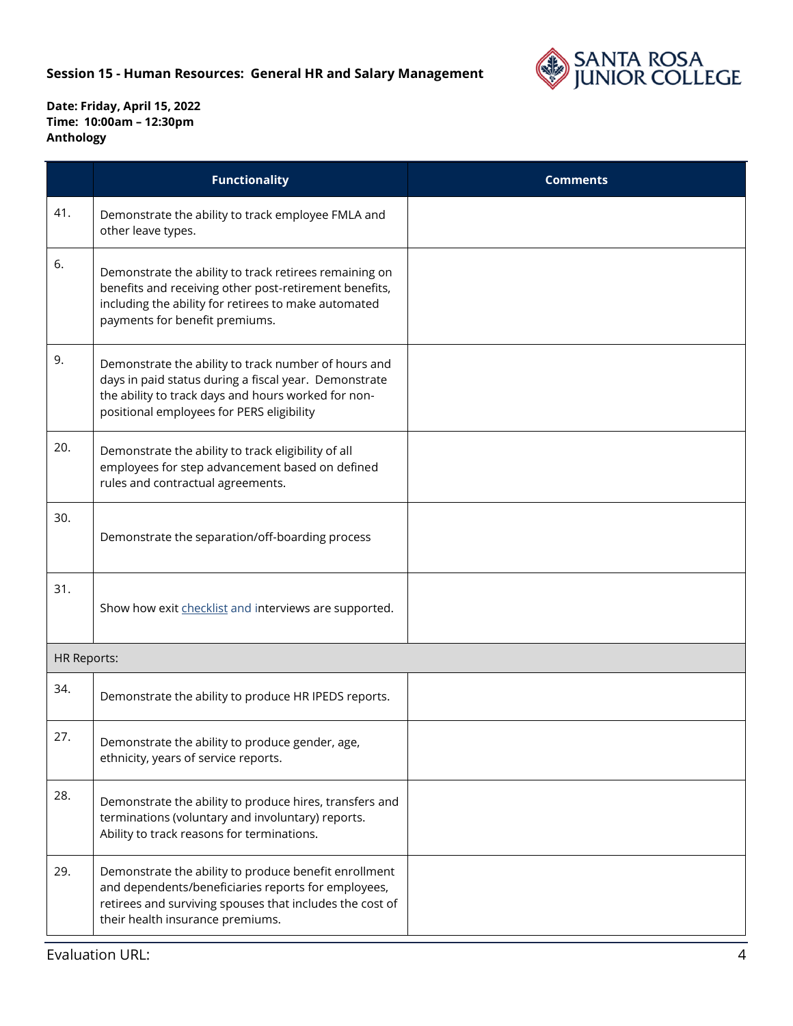

|                    | <b>Functionality</b>                                                                                                                                                                                              | <b>Comments</b> |
|--------------------|-------------------------------------------------------------------------------------------------------------------------------------------------------------------------------------------------------------------|-----------------|
| 41.                | Demonstrate the ability to track employee FMLA and<br>other leave types.                                                                                                                                          |                 |
| 6.                 | Demonstrate the ability to track retirees remaining on<br>benefits and receiving other post-retirement benefits,<br>including the ability for retirees to make automated<br>payments for benefit premiums.        |                 |
| 9.                 | Demonstrate the ability to track number of hours and<br>days in paid status during a fiscal year. Demonstrate<br>the ability to track days and hours worked for non-<br>positional employees for PERS eligibility |                 |
| 20.                | Demonstrate the ability to track eligibility of all<br>employees for step advancement based on defined<br>rules and contractual agreements.                                                                       |                 |
| 30.                | Demonstrate the separation/off-boarding process                                                                                                                                                                   |                 |
| 31.                | Show how exit checklist and interviews are supported.                                                                                                                                                             |                 |
| <b>HR Reports:</b> |                                                                                                                                                                                                                   |                 |
| 34.                | Demonstrate the ability to produce HR IPEDS reports.                                                                                                                                                              |                 |
| 27.                | Demonstrate the ability to produce gender, age,<br>ethnicity, years of service reports.                                                                                                                           |                 |
| 28.                | Demonstrate the ability to produce hires, transfers and<br>terminations (voluntary and involuntary) reports.<br>Ability to track reasons for terminations.                                                        |                 |
| 29.                | Demonstrate the ability to produce benefit enrollment<br>and dependents/beneficiaries reports for employees,<br>retirees and surviving spouses that includes the cost of<br>their health insurance premiums.      |                 |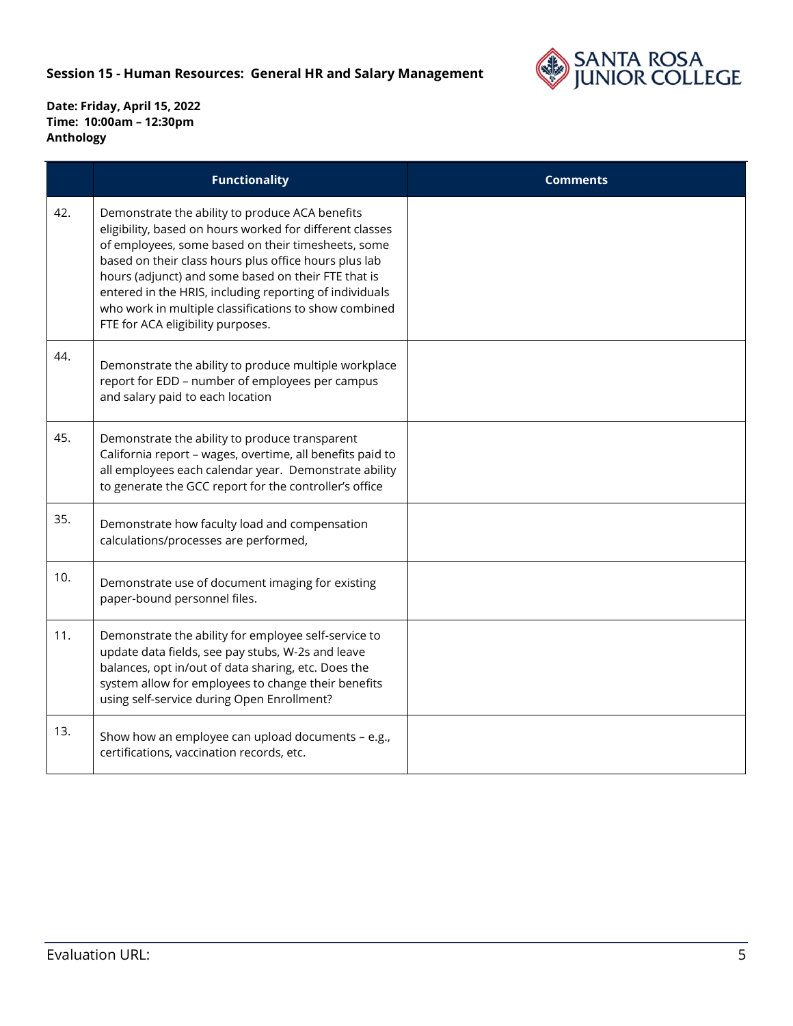

|     | <b>Functionality</b>                                                                                                                                                                                                                                                                                                                                                                                                                       | <b>Comments</b> |
|-----|--------------------------------------------------------------------------------------------------------------------------------------------------------------------------------------------------------------------------------------------------------------------------------------------------------------------------------------------------------------------------------------------------------------------------------------------|-----------------|
| 42. | Demonstrate the ability to produce ACA benefits<br>eligibility, based on hours worked for different classes<br>of employees, some based on their timesheets, some<br>based on their class hours plus office hours plus lab<br>hours (adjunct) and some based on their FTE that is<br>entered in the HRIS, including reporting of individuals<br>who work in multiple classifications to show combined<br>FTE for ACA eligibility purposes. |                 |
| 44. | Demonstrate the ability to produce multiple workplace<br>report for EDD - number of employees per campus<br>and salary paid to each location                                                                                                                                                                                                                                                                                               |                 |
| 45. | Demonstrate the ability to produce transparent<br>California report - wages, overtime, all benefits paid to<br>all employees each calendar year. Demonstrate ability<br>to generate the GCC report for the controller's office                                                                                                                                                                                                             |                 |
| 35. | Demonstrate how faculty load and compensation<br>calculations/processes are performed,                                                                                                                                                                                                                                                                                                                                                     |                 |
| 10. | Demonstrate use of document imaging for existing<br>paper-bound personnel files.                                                                                                                                                                                                                                                                                                                                                           |                 |
| 11. | Demonstrate the ability for employee self-service to<br>update data fields, see pay stubs, W-2s and leave<br>balances, opt in/out of data sharing, etc. Does the<br>system allow for employees to change their benefits<br>using self-service during Open Enrollment?                                                                                                                                                                      |                 |
| 13. | Show how an employee can upload documents - e.g.,<br>certifications, vaccination records, etc.                                                                                                                                                                                                                                                                                                                                             |                 |